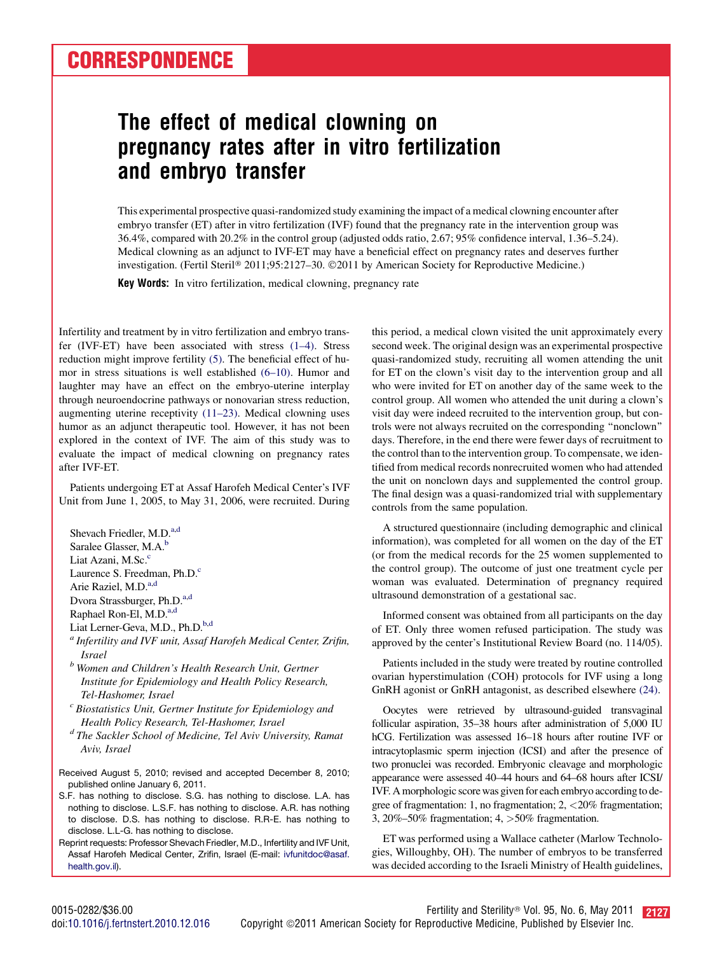## The effect of medical clowning on pregnancy rates after in vitro fertilization and embryo transfer

This experimental prospective quasi-randomized study examining the impact of a medical clowning encounter after embryo transfer (ET) after in vitro fertilization (IVF) found that the pregnancy rate in the intervention group was 36.4%, compared with 20.2% in the control group (adjusted odds ratio, 2.67; 95% confidence interval, 1.36–5.24). Medical clowning as an adjunct to IVF-ET may have a beneficial effect on pregnancy rates and deserves further investigation. (Fertil Steril® 2011;95:2127-30. ©2011 by American Society for Reproductive Medicine.)

Key Words: In vitro fertilization, medical clowning, pregnancy rate

Infertility and treatment by in vitro fertilization and embryo transfer (IVF-ET) have been associated with stress [\(1–4\)](#page-2-0). Stress reduction might improve fertility [\(5\)](#page-2-0). The beneficial effect of humor in stress situations is well established [\(6–10\).](#page-2-0) Humor and laughter may have an effect on the embryo-uterine interplay through neuroendocrine pathways or nonovarian stress reduction, augmenting uterine receptivity [\(11–23\).](#page-2-0) Medical clowning uses humor as an adjunct therapeutic tool. However, it has not been explored in the context of IVF. The aim of this study was to evaluate the impact of medical clowning on pregnancy rates after IVF-ET.

Patients undergoing ET at Assaf Harofeh Medical Center's IVF Unit from June 1, 2005, to May 31, 2006, were recruited. During

Shevach Friedler, M.D.<sup>a,d</sup> Saralee Glasser, M.A.<sup>b</sup> Liat Azani, M.Sc.<sup>c</sup> Laurence S. Freedman, Ph.D.<sup>c</sup> Arie Raziel, M.D.<sup>a,d</sup> Dvora Strassburger, Ph.D.<sup>a,d</sup> Raphael Ron-El, M.D.<sup>a,d</sup>

Liat Lerner-Geva, M.D., Ph.D.<sup>b,d</sup>

<sup>a</sup> Infertility and IVF unit, Assaf Harofeh Medical Center, Zrifin,

- *Israel b* Women and Children's Health Research Unit, Gertner Institute for Epidemiology and Health Policy Research,
- Tel-Hashomer, Israel<br><sup>c</sup> Biostatistics Unit, Gertner Institute for Epidemiology and
- Health Policy Research, Tel-Hashomer, Israel<br><sup>d</sup> The Sackler School of Medicine, Tel Aviv University, Ramat Aviv, Israel
- Received August 5, 2010; revised and accepted December 8, 2010; published online January 6, 2011.

S.F. has nothing to disclose. S.G. has nothing to disclose. L.A. has nothing to disclose. L.S.F. has nothing to disclose. A.R. has nothing to disclose. D.S. has nothing to disclose. R.R-E. has nothing to disclose. L.L-G. has nothing to disclose.

Reprint requests: Professor Shevach Friedler, M.D., Infertility and IVF Unit, Assaf Harofeh Medical Center, Zrifin, Israel (E-mail: [ivfunitdoc@asaf.](mailto:ivfunitdoc@asaf.health.gov.il) [health.gov.il](mailto:ivfunitdoc@asaf.health.gov.il)).

this period, a medical clown visited the unit approximately every second week. The original design was an experimental prospective quasi-randomized study, recruiting all women attending the unit for ET on the clown's visit day to the intervention group and all who were invited for ET on another day of the same week to the control group. All women who attended the unit during a clown's visit day were indeed recruited to the intervention group, but controls were not always recruited on the corresponding ''nonclown'' days. Therefore, in the end there were fewer days of recruitment to the control than to the intervention group. To compensate, we identified from medical records nonrecruited women who had attended the unit on nonclown days and supplemented the control group. The final design was a quasi-randomized trial with supplementary controls from the same population.

A structured questionnaire (including demographic and clinical information), was completed for all women on the day of the ET (or from the medical records for the 25 women supplemented to the control group). The outcome of just one treatment cycle per woman was evaluated. Determination of pregnancy required ultrasound demonstration of a gestational sac.

Informed consent was obtained from all participants on the day of ET. Only three women refused participation. The study was approved by the center's Institutional Review Board (no. 114/05).

Patients included in the study were treated by routine controlled ovarian hyperstimulation (COH) protocols for IVF using a long GnRH agonist or GnRH antagonist, as described elsewhere [\(24\).](#page-3-0)

Oocytes were retrieved by ultrasound-guided transvaginal follicular aspiration, 35–38 hours after administration of 5,000 IU hCG. Fertilization was assessed 16–18 hours after routine IVF or intracytoplasmic sperm injection (ICSI) and after the presence of two pronuclei was recorded. Embryonic cleavage and morphologic appearance were assessed 40–44 hours and 64–68 hours after ICSI/ IVF. A morphologic score was given for each embryo according to degree of fragmentation: 1, no fragmentation; 2, <20% fragmentation; 3, 20%–50% fragmentation; 4, >50% fragmentation.

ET was performed using a Wallace catheter (Marlow Technologies, Willoughby, OH). The number of embryos to be transferred was decided according to the Israeli Ministry of Health guidelines,

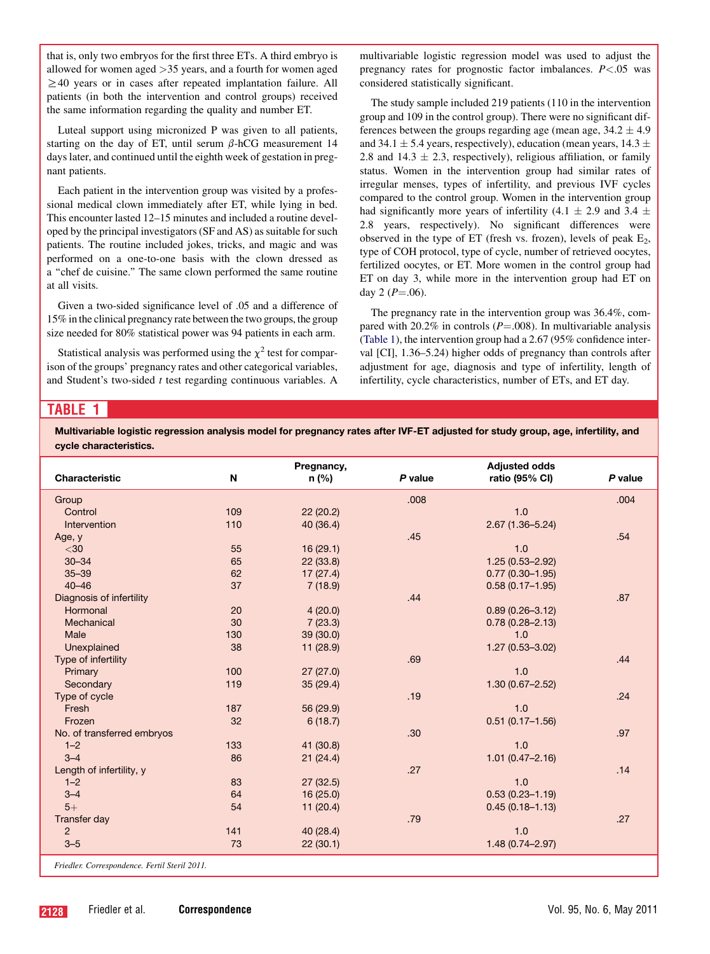that is, only two embryos for the first three ETs. A third embryo is allowed for women aged >35 years, and a fourth for women aged  $\geq$ 40 years or in cases after repeated implantation failure. All patients (in both the intervention and control groups) received the same information regarding the quality and number ET.

Luteal support using micronized P was given to all patients, starting on the day of ET, until serum  $\beta$ -hCG measurement 14 days later, and continued until the eighth week of gestation in pregnant patients.

Each patient in the intervention group was visited by a professional medical clown immediately after ET, while lying in bed. This encounter lasted 12–15 minutes and included a routine developed by the principal investigators (SF and AS) as suitable for such patients. The routine included jokes, tricks, and magic and was performed on a one-to-one basis with the clown dressed as a ''chef de cuisine.'' The same clown performed the same routine at all visits.

Given a two-sided significance level of .05 and a difference of 15% in the clinical pregnancy rate between the two groups, the group size needed for 80% statistical power was 94 patients in each arm.

Statistical analysis was performed using the  $\chi^2$  test for comparison of the groups' pregnancy rates and other categorical variables, and Student's two-sided  $t$  test regarding continuous variables. A multivariable logistic regression model was used to adjust the pregnancy rates for prognostic factor imbalances.  $P < .05$  was considered statistically significant.

The study sample included 219 patients (110 in the intervention group and 109 in the control group). There were no significant differences between the groups regarding age (mean age,  $34.2 \pm 4.9$ ) and 34.1  $\pm$  5.4 years, respectively), education (mean years, 14.3  $\pm$ 2.8 and 14.3  $\pm$  2.3, respectively), religious affiliation, or family status. Women in the intervention group had similar rates of irregular menses, types of infertility, and previous IVF cycles compared to the control group. Women in the intervention group had significantly more years of infertility (4.1  $\pm$  2.9 and 3.4  $\pm$ 2.8 years, respectively). No significant differences were observed in the type of ET (fresh vs. frozen), levels of peak  $E_2$ , type of COH protocol, type of cycle, number of retrieved oocytes, fertilized oocytes, or ET. More women in the control group had ET on day 3, while more in the intervention group had ET on day 2 ( $P = .06$ ).

The pregnancy rate in the intervention group was 36.4%, compared with 20.2% in controls ( $P = .008$ ). In multivariable analysis (Table 1), the intervention group had a 2.67 (95% confidence interval [CI], 1.36–5.24) higher odds of pregnancy than controls after adjustment for age, diagnosis and type of infertility, length of infertility, cycle characteristics, number of ETs, and ET day.

## TABLE 1

Multivariable logistic regression analysis model for pregnancy rates after IVF-ET adjusted for study group, age, infertility, and cycle characteristics.

| Characteristic                                                             | N   | Pregnancy,<br>n(%) | P value | <b>Adjusted odds</b><br>ratio (95% CI) | P value |
|----------------------------------------------------------------------------|-----|--------------------|---------|----------------------------------------|---------|
|                                                                            |     |                    |         |                                        |         |
| Group                                                                      |     |                    | .008    |                                        | .004    |
| Control                                                                    | 109 | 22(20.2)           |         | 1.0                                    |         |
| Intervention                                                               | 110 | 40 (36.4)          |         | $2.67(1.36 - 5.24)$                    |         |
| Age, y                                                                     |     |                    | .45     |                                        | .54     |
| $30$                                                                       | 55  | 16(29.1)           |         | 1.0                                    |         |
| $30 - 34$                                                                  | 65  | 22(33.8)           |         | $1.25(0.53 - 2.92)$                    |         |
| $35 - 39$                                                                  | 62  | 17(27.4)           |         | $0.77(0.30 - 1.95)$                    |         |
| $40 - 46$                                                                  | 37  | 7(18.9)            |         | $0.58(0.17 - 1.95)$                    |         |
| Diagnosis of infertility                                                   |     |                    | .44     |                                        | .87     |
| Hormonal                                                                   | 20  | 4(20.0)            |         | $0.89(0.26 - 3.12)$                    |         |
| Mechanical                                                                 | 30  | 7(23.3)            |         | $0.78(0.28 - 2.13)$                    |         |
| Male                                                                       | 130 | 39 (30.0)          |         | 1.0                                    |         |
| Unexplained                                                                | 38  | 11(28.9)           |         | $1.27(0.53 - 3.02)$                    |         |
| Type of infertility                                                        |     |                    | .69     |                                        | .44     |
| Primary                                                                    | 100 | 27(27.0)           |         | 1.0                                    |         |
| Secondary                                                                  | 119 | 35 (29.4)          |         | $1.30(0.67 - 2.52)$                    |         |
| Type of cycle                                                              |     |                    | .19     |                                        | .24     |
| Fresh                                                                      | 187 | 56 (29.9)          |         | 1.0                                    |         |
| Frozen                                                                     | 32  | 6(18.7)            |         | $0.51(0.17 - 1.56)$                    |         |
| No. of transferred embryos                                                 |     |                    | .30     |                                        | .97     |
| $1 - 2$                                                                    | 133 | 41 (30.8)          |         | 1.0                                    |         |
| $3 - 4$                                                                    | 86  | 21(24.4)           |         | $1.01(0.47 - 2.16)$                    |         |
| Length of infertility, y                                                   |     |                    | .27     |                                        | .14     |
| $1 - 2$                                                                    | 83  | 27(32.5)           |         | 1.0                                    |         |
| $3 - 4$                                                                    | 64  | 16(25.0)           |         | $0.53(0.23 - 1.19)$                    |         |
| $5+$                                                                       | 54  | 11(20.4)           |         | $0.45(0.18 - 1.13)$                    |         |
| <b>Transfer day</b>                                                        |     |                    | .79     |                                        | .27     |
| $\overline{2}$                                                             | 141 | 40 (28.4)          |         | 1.0                                    |         |
| $3 - 5$                                                                    | 73  | 22(30.1)           |         | $1.48(0.74 - 2.97)$                    |         |
| $\mathbf{r}$ $\mathbf{u}$ $\alpha$<br>$T = 0.101$ $1.0011$<br>$\mathbf{r}$ |     |                    |         |                                        |         |

Friedler. Correspondence. Fertil Steril 2011.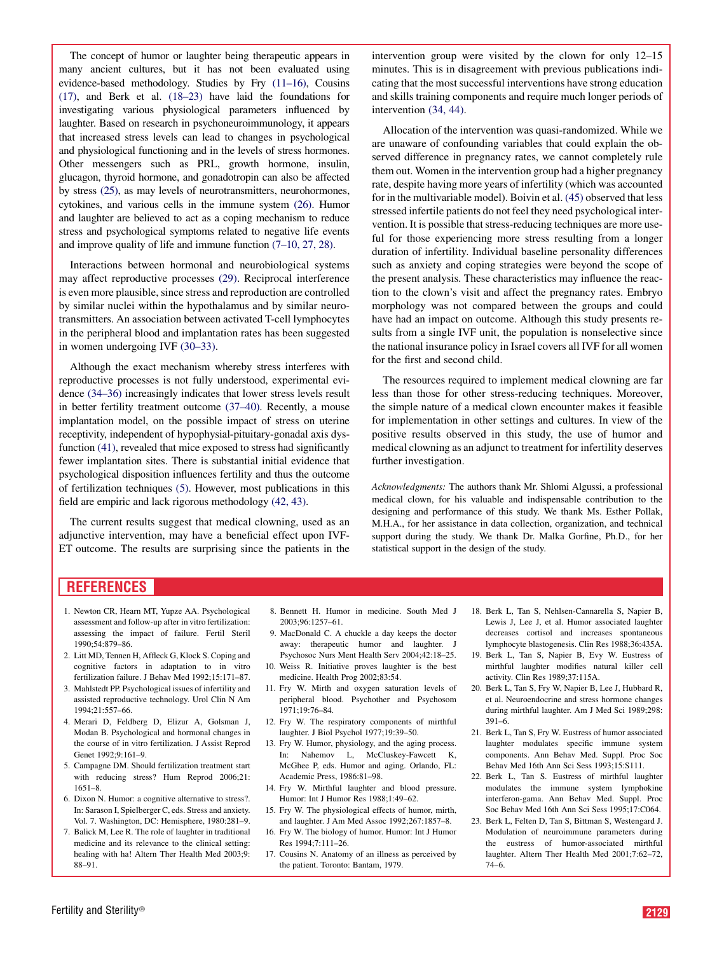<span id="page-2-0"></span>The concept of humor or laughter being therapeutic appears in many ancient cultures, but it has not been evaluated using evidence-based methodology. Studies by Fry (11–16), Cousins (17), and Berk et al. (18–23) have laid the foundations for investigating various physiological parameters influenced by laughter. Based on research in psychoneuroimmunology, it appears that increased stress levels can lead to changes in psychological and physiological functioning and in the levels of stress hormones. Other messengers such as PRL, growth hormone, insulin, glucagon, thyroid hormone, and gonadotropin can also be affected by stress [\(25\),](#page-3-0) as may levels of neurotransmitters, neurohormones, cytokines, and various cells in the immune system [\(26\)](#page-3-0). Humor and laughter are believed to act as a coping mechanism to reduce stress and psychological symptoms related to negative life events and improve quality of life and immune function (7–10, 27, 28).

Interactions between hormonal and neurobiological systems may affect reproductive processes [\(29\)](#page-3-0). Reciprocal interference is even more plausible, since stress and reproduction are controlled by similar nuclei within the hypothalamus and by similar neurotransmitters. An association between activated T-cell lymphocytes in the peripheral blood and implantation rates has been suggested in women undergoing IVF [\(30–33\).](#page-3-0)

Although the exact mechanism whereby stress interferes with reproductive processes is not fully understood, experimental evidence [\(34–36\)](#page-3-0) increasingly indicates that lower stress levels result in better fertility treatment outcome [\(37–40\).](#page-3-0) Recently, a mouse implantation model, on the possible impact of stress on uterine receptivity, independent of hypophysial-pituitary-gonadal axis dysfunction [\(41\),](#page-3-0) revealed that mice exposed to stress had significantly fewer implantation sites. There is substantial initial evidence that psychological disposition influences fertility and thus the outcome of fertilization techniques (5). However, most publications in this field are empiric and lack rigorous methodology [\(42, 43\)](#page-3-0).

The current results suggest that medical clowning, used as an adjunctive intervention, may have a beneficial effect upon IVF-ET outcome. The results are surprising since the patients in the

intervention group were visited by the clown for only 12–15 minutes. This is in disagreement with previous publications indicating that the most successful interventions have strong education and skills training components and require much longer periods of intervention [\(34, 44\)](#page-3-0).

Allocation of the intervention was quasi-randomized. While we are unaware of confounding variables that could explain the observed difference in pregnancy rates, we cannot completely rule them out. Women in the intervention group had a higher pregnancy rate, despite having more years of infertility (which was accounted for in the multivariable model). Boivin et al. [\(45\)](#page-3-0) observed that less stressed infertile patients do not feel they need psychological intervention. It is possible that stress-reducing techniques are more useful for those experiencing more stress resulting from a longer duration of infertility. Individual baseline personality differences such as anxiety and coping strategies were beyond the scope of the present analysis. These characteristics may influence the reaction to the clown's visit and affect the pregnancy rates. Embryo morphology was not compared between the groups and could have had an impact on outcome. Although this study presents results from a single IVF unit, the population is nonselective since the national insurance policy in Israel covers all IVF for all women for the first and second child.

The resources required to implement medical clowning are far less than those for other stress-reducing techniques. Moreover, the simple nature of a medical clown encounter makes it feasible for implementation in other settings and cultures. In view of the positive results observed in this study, the use of humor and medical clowning as an adjunct to treatment for infertility deserves further investigation.

Acknowledgments: The authors thank Mr. Shlomi Algussi, a professional medical clown, for his valuable and indispensable contribution to the designing and performance of this study. We thank Ms. Esther Pollak, M.H.A., for her assistance in data collection, organization, and technical support during the study. We thank Dr. Malka Gorfine, Ph.D., for her statistical support in the design of the study.

## REFERENCES

- 1. Newton CR, Hearn MT, Yupze AA. Psychological assessment and follow-up after in vitro fertilization: assessing the impact of failure. Fertil Steril 1990;54:879–86.
- 2. Litt MD, Tennen H, Affleck G, Klock S. Coping and cognitive factors in adaptation to in vitro fertilization failure. J Behav Med 1992;15:171–87.
- 3. Mahlstedt PP. Psychological issues of infertility and assisted reproductive technology. Urol Clin N Am 1994;21:557–66.
- 4. Merari D, Feldberg D, Elizur A, Golsman J, Modan B. Psychological and hormonal changes in the course of in vitro fertilization. J Assist Reprod Genet 1992;9:161–9.
- 5. Campagne DM. Should fertilization treatment start with reducing stress? Hum Reprod 2006;21: 1651–8.
- 6. Dixon N. Humor: a cognitive alternative to stress?. In: Sarason I, Spielberger C, eds. Stress and anxiety. Vol. 7. Washington, DC: Hemisphere, 1980:281–9.
- 7. Balick M, Lee R. The role of laughter in traditional medicine and its relevance to the clinical setting: healing with ha! Altern Ther Health Med 2003;9: 88–91.
- 8. Bennett H. Humor in medicine. South Med J 2003;96:1257–61.
- 9. MacDonald C. A chuckle a day keeps the doctor away: therapeutic humor and laughter. J Psychosoc Nurs Ment Health Serv 2004;42:18–25.
- 10. Weiss R. Initiative proves laughter is the best medicine. Health Prog 2002;83:54.
- 11. Fry W. Mirth and oxygen saturation levels of peripheral blood. Psychother and Psychosom 1971;19:76–84.
- 12. Fry W. The respiratory components of mirthful laughter. J Biol Psychol 1977;19:39–50.
- 13. Fry W. Humor, physiology, and the aging process. In: Nahemov L, McCluskey-Fawcett K, McGhee P, eds. Humor and aging. Orlando, FL: Academic Press, 1986:81–98.
- 14. Fry W. Mirthful laughter and blood pressure. Humor: Int J Humor Res 1988;1:49–62.
- 15. Fry W. The physiological effects of humor, mirth, and laughter. J Am Med Assoc 1992;267:1857–8.
- 16. Fry W. The biology of humor. Humor: Int J Humor Res 1994;7:111–26.
- 17. Cousins N. Anatomy of an illness as perceived by the patient. Toronto: Bantam, 1979.
- 18. Berk L, Tan S, Nehlsen-Cannarella S, Napier B, Lewis J, Lee J, et al. Humor associated laughter decreases cortisol and increases spontaneous lymphocyte blastogenesis. Clin Res 1988;36:435A.
- 19. Berk L, Tan S, Napier B, Evy W. Eustress of mirthful laughter modifies natural killer cell activity. Clin Res 1989;37:115A.
- 20. Berk L, Tan S, Fry W, Napier B, Lee J, Hubbard R, et al. Neuroendocrine and stress hormone changes during mirthful laughter. Am J Med Sci 1989;298: 391–6.
- 21. Berk L, Tan S, Fry W. Eustress of humor associated laughter modulates specific immune system components. Ann Behav Med. Suppl. Proc Soc Behav Med 16th Ann Sci Sess 1993;15:S111.
- 22. Berk L, Tan S. Eustress of mirthful laughter modulates the immune system lymphokine interferon-gama. Ann Behav Med. Suppl. Proc Soc Behav Med 16th Ann Sci Sess 1995;17:C064.
- 23. Berk L, Felten D, Tan S, Bittman S, Westengard J. Modulation of neuroimmune parameters during the eustress of humor-associated mirthful laughter. Altern Ther Health Med 2001;7:62–72, 74–6.